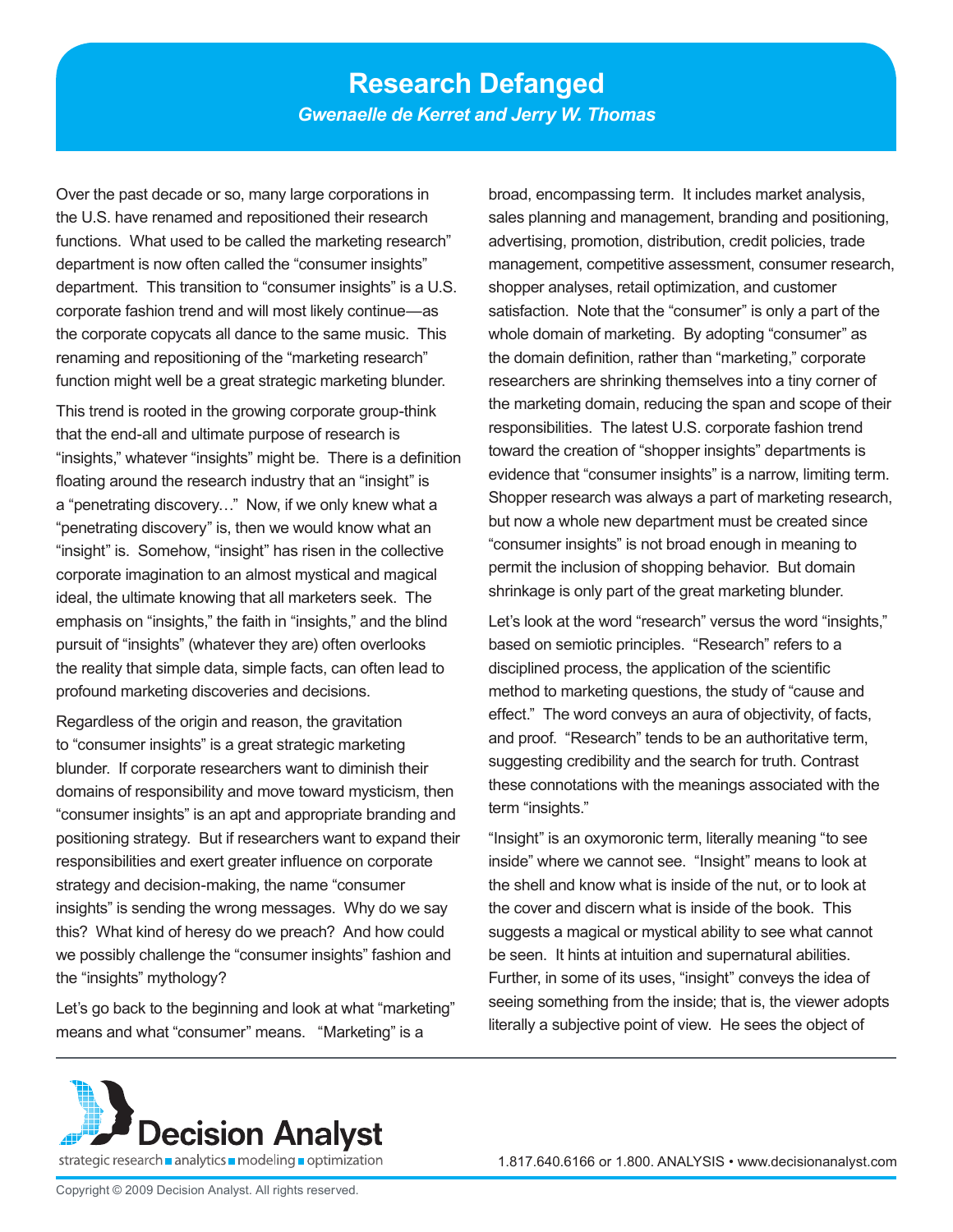Over the past decade or so, many large corporations in the U.S. have renamed and repositioned their research functions. What used to be called the marketing research" department is now often called the "consumer insights" department. This transition to "consumer insights" is a U.S. corporate fashion trend and will most likely continue—as the corporate copycats all dance to the same music. This renaming and repositioning of the "marketing research" function might well be a great strategic marketing blunder.

This trend is rooted in the growing corporate group-think that the end-all and ultimate purpose of research is "insights," whatever "insights" might be. There is a definition floating around the research industry that an "insight" is a "penetrating discovery…" Now, if we only knew what a "penetrating discovery" is, then we would know what an "insight" is. Somehow, "insight" has risen in the collective corporate imagination to an almost mystical and magical ideal, the ultimate knowing that all marketers seek. The emphasis on "insights," the faith in "insights," and the blind pursuit of "insights" (whatever they are) often overlooks the reality that simple data, simple facts, can often lead to profound marketing discoveries and decisions.

Regardless of the origin and reason, the gravitation to "consumer insights" is a great strategic marketing blunder. If corporate researchers want to diminish their domains of responsibility and move toward mysticism, then "consumer insights" is an apt and appropriate branding and positioning strategy. But if researchers want to expand their responsibilities and exert greater influence on corporate strategy and decision-making, the name "consumer insights" is sending the wrong messages. Why do we say this? What kind of heresy do we preach? And how could we possibly challenge the "consumer insights" fashion and the "insights" mythology?

Let's go back to the beginning and look at what "marketing" means and what "consumer" means. "Marketing" is a

broad, encompassing term. It includes market analysis, sales planning and management, branding and positioning, advertising, promotion, distribution, credit policies, trade management, competitive assessment, consumer research, shopper analyses, retail optimization, and customer satisfaction. Note that the "consumer" is only a part of the whole domain of marketing. By adopting "consumer" as the domain definition, rather than "marketing," corporate researchers are shrinking themselves into a tiny corner of the marketing domain, reducing the span and scope of their responsibilities. The latest U.S. corporate fashion trend toward the creation of "shopper insights" departments is evidence that "consumer insights" is a narrow, limiting term. Shopper research was always a part of marketing research, but now a whole new department must be created since "consumer insights" is not broad enough in meaning to permit the inclusion of shopping behavior. But domain shrinkage is only part of the great marketing blunder.

Let's look at the word "research" versus the word "insights," based on semiotic principles. "Research" refers to a disciplined process, the application of the scientific method to marketing questions, the study of "cause and effect." The word conveys an aura of objectivity, of facts, and proof. "Research" tends to be an authoritative term, suggesting credibility and the search for truth. Contrast these connotations with the meanings associated with the term "insights."

"Insight" is an oxymoronic term, literally meaning "to see inside" where we cannot see. "Insight" means to look at the shell and know what is inside of the nut, or to look at the cover and discern what is inside of the book. This suggests a magical or mystical ability to see what cannot be seen. It hints at intuition and supernatural abilities. Further, in some of its uses, "insight" conveys the idea of seeing something from the inside; that is, the viewer adopts literally a subjective point of view. He sees the object of